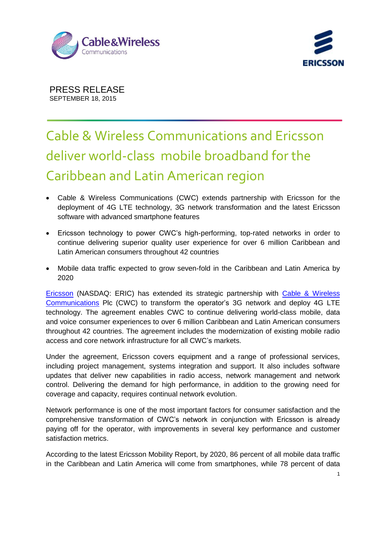



## Cable & Wireless Communications and Ericsson deliver world-class mobile broadband for the Caribbean and Latin American region

- Cable & Wireless Communications (CWC) extends partnership with Ericsson for the deployment of 4G LTE technology, 3G network transformation and the latest Ericsson software with advanced smartphone features
- Ericsson technology to power CWC's high-performing, top-rated networks in order to continue delivering superior quality user experience for over 6 million Caribbean and Latin American consumers throughout 42 countries
- Mobile data traffic expected to grow seven-fold in the Caribbean and Latin America by 2020

[Ericsson](http://www.ericsson.com/) (NASDAQ: ERIC) has extended its strategic partnership with [Cable & Wireless](http://www.cwc.com/)  [Communications](http://www.cwc.com/) Plc (CWC) to transform the operator's 3G network and deploy 4G LTE technology. The agreement enables CWC to continue delivering world-class mobile, data and voice consumer experiences to over 6 million Caribbean and Latin American consumers throughout 42 countries. The agreement includes the modernization of existing mobile radio access and core network infrastructure for all CWC's markets.

Under the agreement, Ericsson covers equipment and a range of professional services, including project management, systems integration and support. It also includes software updates that deliver new capabilities in radio access, network management and network control. Delivering the demand for high performance, in addition to the growing need for coverage and capacity, requires continual network evolution.

Network performance is one of the most important factors for consumer satisfaction and the comprehensive transformation of CWC's network in conjunction with Ericsson is already paying off for the operator, with improvements in several key performance and customer satisfaction metrics.

According to the latest Ericsson Mobility Report, by 2020, 86 percent of all mobile data traffic in the Caribbean and Latin America will come from smartphones, while 78 percent of data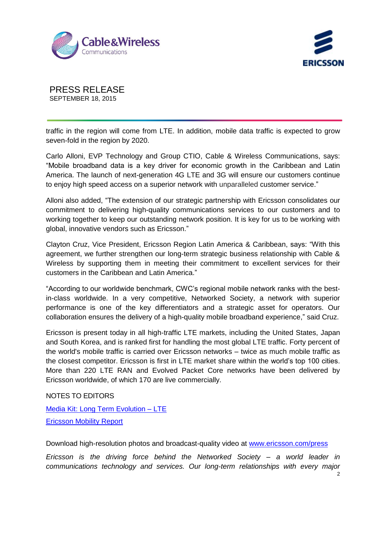



traffic in the region will come from LTE. In addition, mobile data traffic is expected to grow seven-fold in the region by 2020.

Carlo Alloni, EVP Technology and Group CTIO, Cable & Wireless Communications, says: "Mobile broadband data is a key driver for economic growth in the Caribbean and Latin America. The launch of next-generation 4G LTE and 3G will ensure our customers continue to enjoy high speed access on a superior network with unparalleled customer service."

Alloni also added, "The extension of our strategic partnership with Ericsson consolidates our commitment to delivering high-quality communications services to our customers and to working together to keep our outstanding network position. It is key for us to be working with global, innovative vendors such as Ericsson."

Clayton Cruz, Vice President, Ericsson Region Latin America & Caribbean, says: "With this agreement, we further strengthen our long-term strategic business relationship with Cable & Wireless by supporting them in meeting their commitment to excellent services for their customers in the Caribbean and Latin America."

"According to our worldwide benchmark, CWC's regional mobile network ranks with the bestin-class worldwide. In a very competitive, Networked Society, a network with superior performance is one of the key differentiators and a strategic asset for operators. Our collaboration ensures the delivery of a high-quality mobile broadband experience," said Cruz.

Ericsson is present today in all high-traffic LTE markets, including the United States, Japan and South Korea, and is ranked first for handling the most global LTE traffic. Forty percent of the world's mobile traffic is carried over Ericsson networks – twice as much mobile traffic as the closest competitor. Ericsson is first in LTE market share within the world's top 100 cities. More than 220 LTE RAN and Evolved Packet Core networks have been delivered by Ericsson worldwide, of which 170 are live commercially.

NOTES TO EDITORS

Media Kit: [Long Term Evolution –](http://www.ericsson.com/thecompany/press/mediakits/lte) LTE [Ericsson Mobility Report](http://www.ericsson.com/mobility-report)

Download high-resolution photos and broadcast-quality video at [www.ericsson.com/press](http://www.ericsson.com/press)

*Ericsson is the driving force behind the Networked Society – a world leader in communications technology and services. Our long-term relationships with every major*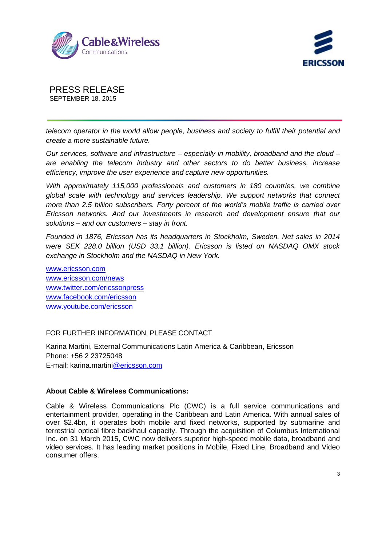



*telecom operator in the world allow people, business and society to fulfill their potential and create a more sustainable future.* 

*Our services, software and infrastructure – especially in mobility, broadband and the cloud – are enabling the telecom industry and other sectors to do better business, increase efficiency, improve the user experience and capture new opportunities.* 

*With approximately 115,000 professionals and customers in 180 countries, we combine global scale with technology and services leadership. We support networks that connect more than 2.5 billion subscribers. Forty percent of the world's mobile traffic is carried over Ericsson networks. And our investments in research and development ensure that our solutions – and our customers – stay in front.*

*Founded in 1876, Ericsson has its headquarters in Stockholm, Sweden. Net sales in 2014 were SEK 228.0 billion (USD 33.1 billion). Ericsson is listed on NASDAQ OMX stock exchange in Stockholm and the NASDAQ in New York.*

[www.ericsson.com](http://www.ericsson.com/) [www.ericsson.com/news](http://www.ericsson.com/news) [www.twitter.com/ericssonpress](http://www.twitter.com/ericssonpress) [www.facebook.com/ericsson](http://www.facebook.com/ericsson) [www.youtube.com/ericsson](http://www.youtube.com/ericssonpress)

## FOR FURTHER INFORMATION, PLEASE CONTACT

Karina Martini, External Communications Latin America & Caribbean, Ericsson Phone: +56 2 23725048 E-mail: karina.martin[i@ericsson.com](mailto:wendi.patrick@ericsson.com)

## **About Cable & Wireless Communications:**

Cable & Wireless Communications Plc (CWC) is a full service communications and entertainment provider, operating in the Caribbean and Latin America. With annual sales of over \$2.4bn, it operates both mobile and fixed networks, supported by submarine and terrestrial optical fibre backhaul capacity. Through the acquisition of Columbus International Inc. on 31 March 2015, CWC now delivers superior high-speed mobile data, broadband and video services. It has leading market positions in Mobile, Fixed Line, Broadband and Video consumer offers.